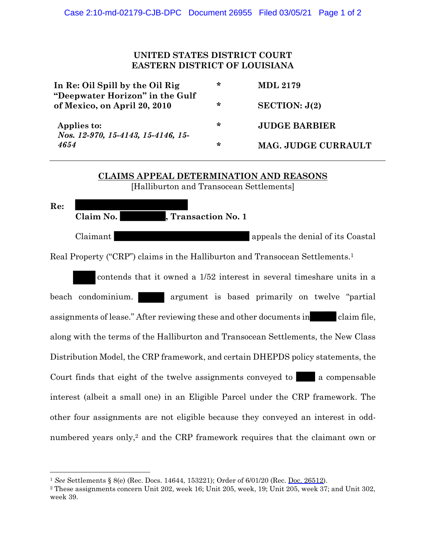## **UNITED STATES DISTRICT COURT EASTERN DISTRICT OF LOUISIANA**

| In Re: Oil Spill by the Oil Rig<br>"Deepwater Horizon" in the Gulf<br>of Mexico, on April 20, 2010 | ∗ | <b>MDL 2179</b>      |
|----------------------------------------------------------------------------------------------------|---|----------------------|
|                                                                                                    | ∗ | SECTION: J(2)        |
| Applies to:<br>Nos. 12-970, 15-4143, 15-4146, 15-<br>4654                                          | ∗ | <b>JUDGE BARBIER</b> |
|                                                                                                    | ∗ | MAG. JUDGE CURRAULT  |

## **CLAIMS APPEAL DETERMINATION AND REASONS** [Halliburton and Transocean Settlements]

**Re: Claim No. , Transaction No. 1** Claimant appeals the denial of its Coastal Real Property ("CRP") claims in the Halliburton and Transocean Settlements.<sup>1</sup>

contends that it owned a 1/52 interest in several timeshare units in a beach condominium. argument is based primarily on twelve "partial" assignments of lease." After reviewing these and other documents in claim file, along with the terms of the Halliburton and Transocean Settlements, the New Class Distribution Model, the CRP framework, and certain DHEPDS policy statements, the Court finds that eight of the twelve assignments conveyed to a compensable interest (albeit a small one) in an Eligible Parcel under the CRP framework. The other four assignments are not eligible because they conveyed an interest in oddnumbered years only, <sup>2</sup> and the CRP framework requires that the claimant own or

<sup>1</sup> *See* Settlements § 8(e) (Rec. Docs. 14644, 153221); Order of 6/01/20 (Rec. Doc. 26512).

<sup>2</sup> These assignments concern Unit 202, week 16; Unit 205, week, 19; Unit 205, week 37; and Unit 302, week 39.